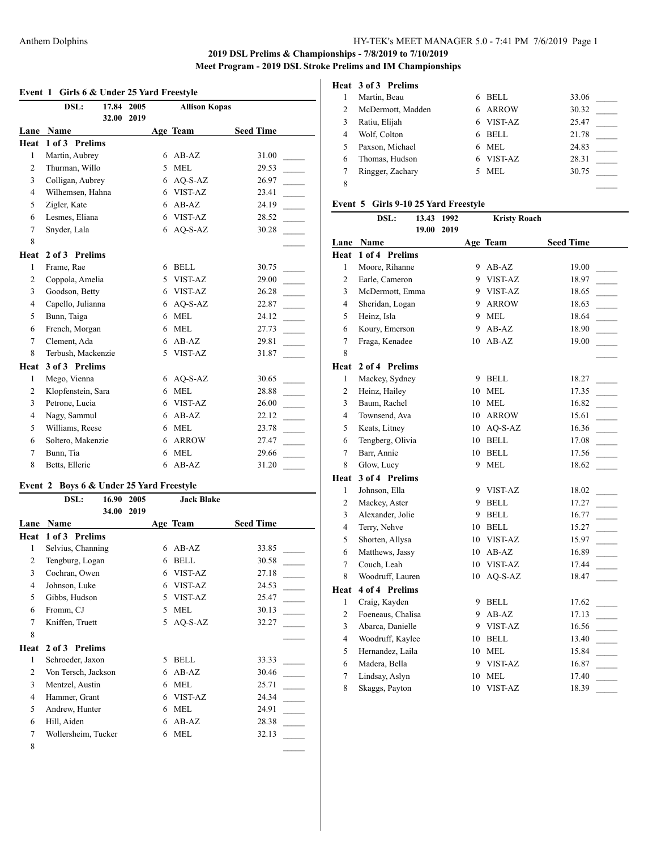# **Event 1 Girls 6 & Under 25 Yard Freestyle**

|                | DSL:<br>17.84        | 2005 |   | <b>Allison Kopas</b> |                  |
|----------------|----------------------|------|---|----------------------|------------------|
| Lane           | 32.00<br><b>Name</b> | 2019 |   | Age Team             | <b>Seed Time</b> |
| Heat           | 1 of 3 Prelims       |      |   |                      |                  |
| $\mathbf{1}$   | Martin, Aubrey       |      | 6 | $AB-AZ$              | 31.00            |
| 2              | Thurman, Willo       |      | 5 | <b>MEL</b>           | 29.53            |
| 3              | Colligan, Aubrey     |      | 6 | AQ-S-AZ              | 26.97            |
| $\overline{4}$ | Wilhemsen, Hahna     |      | 6 | VIST-AZ              | 23.41            |
| 5              | Zigler, Kate         |      | 6 | $AB-AZ$              | 24.19            |
| 6              | Lesmes, Eliana       |      | 6 | VIST-AZ              | 28.52            |
| 7              | Snyder, Lala         |      | 6 | $AQ-S-AZ$            | 30.28            |
| 8              |                      |      |   |                      |                  |
| Heat           | 2 of 3 Prelims       |      |   |                      |                  |
| 1              | Frame, Rae           |      | 6 | <b>BELL</b>          | 30.75            |
| 2              | Coppola, Amelia      |      | 5 | VIST-AZ              | 29.00            |
| 3              | Goodson, Betty       |      | 6 | VIST-AZ              | 26.28            |
| $\overline{4}$ | Capello, Julianna    |      | 6 | AQ-S-AZ              | 22.87            |
| 5              | Bunn, Taiga          |      | 6 | <b>MEL</b>           | 24.12            |
| 6              | French, Morgan       |      | 6 | <b>MEL</b>           | 27.73            |
| $\overline{7}$ | Clement, Ada         |      | 6 | $AB-AZ$              | 29.81            |
| 8              | Terbush, Mackenzie   |      | 5 | VIST-AZ              | 31.87            |
| Heat           | 3 of 3 Prelims       |      |   |                      |                  |
| $\mathbf{1}$   | Mego, Vienna         |      | 6 | $AQ-S-AZ$            | 30.65            |
| 2              | Klopfenstein, Sara   |      | 6 | <b>MEL</b>           | 28.88            |
| 3              | Petrone, Lucia       |      | 6 | VIST-AZ              | 26.00            |
| 4              | Nagy, Sammul         |      | 6 | $AB-AZ$              | 22.12            |
| 5              | Williams, Reese      |      | 6 | <b>MEL</b>           | 23.78            |
| 6              | Soltero, Makenzie    |      | 6 | <b>ARROW</b>         | 27.47            |
| 7              | Bunn, Tia            |      | 6 | <b>MEL</b>           | 29.66            |
| 8              | Betts, Ellerie       |      | 6 | $AB-AZ$              | 31.20            |

## **Event 2 Boys 6 & Under 25 Yard Freestyle**

|      | DSL:                | 16.90 | 2005 |   | <b>Jack Blake</b> |                  |  |
|------|---------------------|-------|------|---|-------------------|------------------|--|
|      |                     | 34.00 | 2019 |   |                   |                  |  |
| Lane | Name                |       |      |   | Age Team          | <b>Seed Time</b> |  |
| Heat | 1 of 3 Prelims      |       |      |   |                   |                  |  |
| 1    | Selvius, Channing   |       |      | 6 | $AB-AZ$           | 33.85            |  |
| 2    | Tengburg, Logan     |       |      | 6 | <b>BELL</b>       | 30.58            |  |
| 3    | Cochran, Owen       |       |      | 6 | VIST-AZ           | 27.18            |  |
| 4    | Johnson, Luke       |       |      | 6 | VIST-AZ           | 24.53            |  |
| 5    | Gibbs, Hudson       |       |      | 5 | VIST-AZ           | 25.47            |  |
| 6    | Fromm, CJ           |       |      | 5 | <b>MEL</b>        | 30.13            |  |
| 7    | Kniffen, Truett     |       |      | 5 | $AO-S-AZ$         | 32.27            |  |
| 8    |                     |       |      |   |                   |                  |  |
| Heat | 2 of 3 Prelims      |       |      |   |                   |                  |  |
| 1    | Schroeder, Jaxon    |       |      | 5 | <b>BELL</b>       | 33.33            |  |
| 2    | Von Tersch, Jackson |       |      | 6 | $AB-AZ$           | 30.46            |  |
| 3    | Mentzel, Austin     |       |      | 6 | <b>MEL</b>        | 25.71            |  |
| 4    | Hammer, Grant       |       |      | 6 | VIST-AZ           | 24.34            |  |
| 5    | Andrew, Hunter      |       |      | 6 | <b>MEL</b>        | 24.91            |  |
| 6    | Hill, Aiden         |       |      | 6 | $AB-AZ$           | 28.38            |  |
| 7    | Wollersheim, Tucker |       |      | 6 | <b>MEL</b>        | 32.13            |  |
| 8    |                     |       |      |   |                   |                  |  |

# **Heat 3 of 3 Prelims**

| Martin, Beau      | BELL<br>6         | 33.06 |
|-------------------|-------------------|-------|
| McDermott, Madden | <b>ARROW</b><br>6 | 30.32 |
| Ratiu, Elijah     | VIST-AZ<br>6      | 25.47 |
| Wolf, Colton      | <b>BELL</b><br>6  | 21.78 |
| Paxson, Michael   | MEL<br>6          | 24.83 |
| Thomas, Hudson    | VIST-AZ<br>6      | 28.31 |
| Ringger, Zachary  | <b>MEL</b>        | 30.75 |
|                   |                   |       |
|                   |                   |       |

#### **Event 5 Girls 9-10 25 Yard Freestyle**

|                | DSL:                          | 13.43<br>1992 |    | <b>Kristy Roach</b> |                  |
|----------------|-------------------------------|---------------|----|---------------------|------------------|
|                |                               | 19.00<br>2019 |    |                     |                  |
| Lane<br>Heat   | <b>Name</b><br>1 of 4 Prelims |               |    | Age Team            | <b>Seed Time</b> |
| $\mathbf{1}$   | Moore, Rihanne                |               | 9  | $AB-AZ$             | 19.00            |
| $\overline{c}$ | Earle, Cameron                |               | 9  | VIST-AZ             | 18.97            |
| 3              | McDermott, Emma               |               | 9  | VIST-AZ             | 18.65            |
| 4              | Sheridan, Logan               |               | 9  | <b>ARROW</b>        | 18.63            |
| 5              | Heinz, Isla                   |               |    | 9 MEL               | 18.64            |
| 6              | Koury, Emerson                |               | 9  | $AB-AZ$             | 18.90            |
| 7              | Fraga, Kenadee                |               | 10 | $AB-AZ$             | 19.00            |
| 8              |                               |               |    |                     |                  |
| Heat           | 2 of 4 Prelims                |               |    |                     |                  |
| $\mathbf{1}$   | Mackey, Sydney                |               | 9  | <b>BELL</b>         | 18.27            |
| $\overline{2}$ | Heinz, Hailey                 |               | 10 | <b>MEL</b>          | 17.35            |
| 3              | Baum, Rachel                  |               | 10 | <b>MEL</b>          | 16.82            |
| 4              | Townsend, Ava                 |               | 10 | <b>ARROW</b>        | 15.61            |
| 5              | Keats, Litney                 |               | 10 | AQ-S-AZ             | 16.36            |
| 6              | Tengberg, Olivia              |               | 10 | <b>BELL</b>         | 17.08            |
| 7              | Barr, Annie                   |               | 10 | <b>BELL</b>         | 17.56            |
| 8              | Glow, Lucy                    |               | 9  | <b>MEL</b>          | 18.62            |
| Heat           | 3 of 4 Prelims                |               |    |                     |                  |
| 1              | Johnson, Ella                 |               | 9  | VIST-AZ             | 18.02            |
| 2              | Mackey, Aster                 |               | 9  | <b>BELL</b>         | 17.27            |
| 3              | Alexander, Jolie              |               | 9  | <b>BELL</b>         | 16.77            |
| $\overline{4}$ | Terry, Nehve                  |               | 10 | <b>BELL</b>         | 15.27            |
| 5              | Shorten, Allysa               |               |    | 10 VIST-AZ          | 15.97            |
| 6              | Matthews, Jassy               |               |    | 10 AB-AZ            | 16.89            |
| 7              | Couch, Leah                   |               | 10 | VIST-AZ             | 17.44            |
| 8              | Woodruff, Lauren              |               | 10 | AQ-S-AZ             | 18.47            |
| Heat           | 4 of 4 Prelims                |               |    |                     |                  |
| 1              | Craig, Kayden                 |               | 9  | <b>BELL</b>         | 17.62            |
| $\overline{2}$ | Foeneaus, Chalisa             |               | 9  | $AB-AZ$             | 17.13            |
| 3              | Abarca, Danielle              |               | 9  | VIST-AZ             | 16.56            |
| 4              | Woodruff, Kaylee              |               | 10 | <b>BELL</b>         | 13.40            |
| 5              | Hernandez, Laila              |               | 10 | <b>MEL</b>          | 15.84            |
| 6              | Madera, Bella                 |               | 9  | <b>VIST-AZ</b>      | 16.87            |
| 7              | Lindsay, Aslyn                |               | 10 | <b>MEL</b>          | 17.40            |
| 8              | Skaggs, Payton                |               | 10 | VIST-AZ             | 18.39            |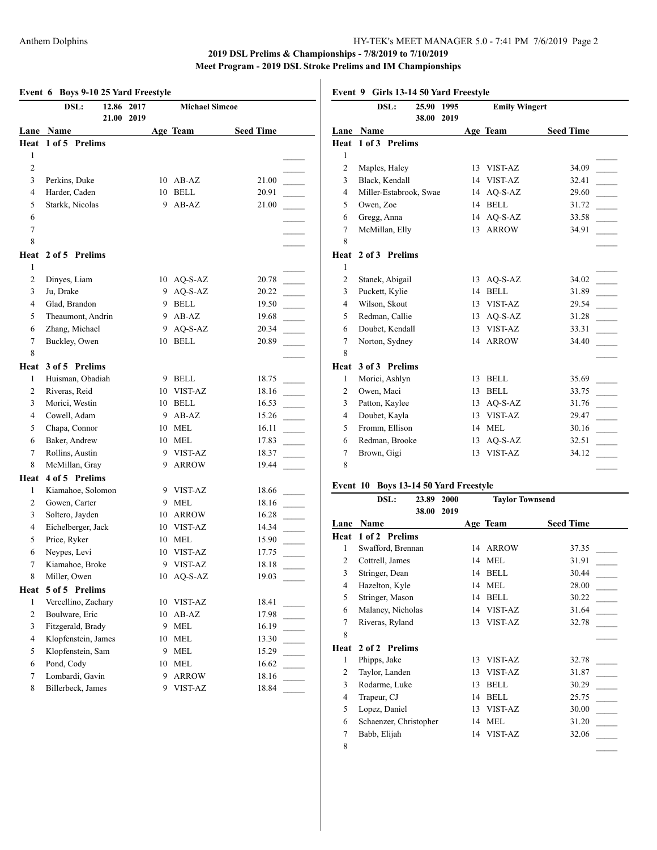|                | DSL:                               | 12.86 2017 | <b>Michael Simcoe</b>         |                  |                | DSL:                          |            | 25.90 1995 |
|----------------|------------------------------------|------------|-------------------------------|------------------|----------------|-------------------------------|------------|------------|
|                |                                    | 21.00 2019 |                               |                  |                |                               |            | 38.00 2019 |
|                | Lane Name                          |            | Age Team                      | <b>Seed Time</b> |                | Lane Name                     |            |            |
|                | Heat 1 of 5 Prelims                |            |                               |                  |                | Heat 1 of 3 Prelims           |            |            |
| 1              |                                    |            |                               |                  | $\mathbf{1}$   |                               |            |            |
| 2              |                                    |            |                               |                  | 2              | Maples, Haley                 |            |            |
| 3              | Perkins, Duke                      |            | 10 AB-AZ                      | 21.00            | 3              | Black, Kendall                |            |            |
| 4              | Harder, Caden                      |            | 10 BELL                       | 20.91            | 4              | Miller-Estabrook, Swae        |            |            |
| 5              | Starkk, Nicolas                    |            | 9 AB-AZ                       | 21.00            | 5              | Owen, Zoe                     |            |            |
| 6              |                                    |            |                               |                  | 6              | Gregg, Anna                   |            |            |
| $\tau$         |                                    |            |                               |                  | 7              | McMillan, Elly                |            |            |
| 8              |                                    |            |                               |                  | 8              |                               |            |            |
|                | Heat 2 of 5 Prelims                |            |                               |                  |                | Heat 2 of 3 Prelims           |            |            |
| 1              |                                    |            |                               |                  | 1              |                               |            |            |
| 2              | Dinyes, Liam                       |            | 10 AQ-S-AZ                    | 20.78            | 2              | Stanek, Abigail               |            |            |
| 3              | Ju, Drake                          |            | 9 AQ-S-AZ                     | 20.22            | 3              | Puckett, Kylie                |            |            |
| $\overline{4}$ | Glad, Brandon                      |            | 9 BELL                        | 19.50            | 4              | Wilson, Skout                 |            |            |
| 5              | Theaumont, Andrin                  |            | 9 AB-AZ                       | 19.68            | 5              | Redman, Callie                |            |            |
| 6              | Zhang, Michael                     |            | 9 AQ-S-AZ                     | 20.34            | 6              | Doubet, Kendall               |            |            |
| 7              | Buckley, Owen                      |            | 10 BELL                       | 20.89            | 7              | Norton, Sydney                |            |            |
| 8              |                                    |            |                               |                  | 8              |                               |            |            |
|                | Heat 3 of 5 Prelims                |            |                               |                  | Heat           | 3 of 3 Prelims                |            |            |
| 1              | Huisman, Obadiah                   |            | 9 BELL                        | 18.75            | $\mathbf{1}$   | Morici, Ashlyn                |            |            |
| 2              | Riveras, Reid                      |            | 10 VIST-AZ                    | 18.16            | 2              | Owen, Maci                    |            |            |
| 3              | Morici, Westin                     |            | 10 BELL                       | 16.53            | 3              | Patton, Kaylee                |            |            |
| 4              | Cowell, Adam                       |            | 9 AB-AZ                       | 15.26            | 4              | Doubet, Kayla                 |            |            |
| 5              | Chapa, Connor                      | 10         | MEL                           | 16.11            | 5              | Fromm, Ellison                |            |            |
| 6              | Baker, Andrew                      | 10         | MEL                           | 17.83            | 6              | Redman, Brooke                |            |            |
| 7              | Rollins, Austin                    | 9          | <b>VIST-AZ</b>                | 18.37            | 7              | Brown, Gigi                   |            |            |
| 8              | McMillan, Gray                     | 9          | <b>ARROW</b>                  | 19.44            | 8              |                               |            |            |
| Heat           | 4 of 5 Prelims                     |            |                               |                  |                |                               |            |            |
| 1              | Kiamahoe, Solomon                  |            | 9 VIST-AZ                     | 18.66            |                | Event 10 Boys 13-14 50 Yard F |            |            |
| 2              | Gowen, Carter                      | 9          | <b>MEL</b>                    | 18.16            |                | DSL:                          | 23.89 2000 |            |
| 3              |                                    | 10         | <b>ARROW</b>                  | 16.28            |                |                               | 38.00 2019 |            |
| 4              | Soltero, Jayden                    |            | 10 VIST-AZ                    | 14.34            |                | Lane Name                     |            |            |
| 5              | Eichelberger, Jack<br>Price, Ryker | 10         | <b>MEL</b>                    | 15.90            |                | Heat 1 of 2 Prelims           |            |            |
|                |                                    |            | 10 VIST-AZ                    | 17.75            | 1              | Swafford, Brennan             |            |            |
| 6<br>$\tau$    | Neypes, Levi                       |            | 9 VIST-AZ                     |                  | $\overline{2}$ | Cottrell, James               |            |            |
|                | Kiamahoe, Broke<br>Miller, Owen    |            |                               | 18.18            | 3              | Stringer, Dean                |            |            |
| 8              |                                    |            | 10 AQ-S-AZ                    | 19.03            | 4              | Hazelton, Kyle                |            |            |
|                | Heat 5 of 5 Prelims                |            |                               |                  | 5              | Stringer, Mason               |            |            |
| 1              | Vercellino, Zachary                |            | 10 VIST-AZ                    | 18.41            | 6              | Malaney, Nicholas             |            |            |
| 2              | Boulware, Eric                     | 10         | AB-AZ                         | 17.98            | 7              | Riveras, Ryland               |            |            |
| 3              | Fitzgerald, Brady                  | 9          | <b>MEL</b>                    | 16.19            | 8              |                               |            |            |
| $\overline{4}$ | Klopfenstein, James                | 10         | $\operatorname{MEL}$          | 13.30            |                | Heat 2 of 2 Prelims           |            |            |
| 5              | Klopfenstein, Sam                  | 9          | <b>MEL</b>                    | 15.29            | 1              | Phipps, Jake                  |            |            |
| 6              | Pond, Cody                         | 10         | $\operatorname{\mathsf{MEL}}$ | 16.62            | 2              | Taylor, Landen                |            |            |
| 7              | Lombardi, Gavin                    | 9          | <b>ARROW</b>                  | 18.16            | 3              | Rodarme, Luke                 |            |            |
| 8              | Billerbeck, James                  | 9          | VIST-AZ                       | 18.84            | $\overline{4}$ | Trapeur, CJ                   |            |            |
|                |                                    |            |                               |                  | 5              | Lopez, Daniel                 |            |            |
|                |                                    |            |                               |                  |                |                               |            |            |

**Event 9 Girls 13-14 50 Yard Freestyle**

|                | DSL:<br>25.90<br>1995  |    | <b>Emily Wingert</b> |                  |
|----------------|------------------------|----|----------------------|------------------|
|                | 38.00<br>2019          |    |                      |                  |
| Lane           | Name                   |    | Age Team             | <b>Seed Time</b> |
| Heat           | 1 of 3 Prelims         |    |                      |                  |
| $\mathbf{1}$   |                        |    |                      |                  |
| $\overline{2}$ | Maples, Haley          | 13 | VIST-AZ              | 34.09            |
| 3              | Black, Kendall         | 14 | VIST-AZ              | 32.41            |
| 4              | Miller-Estabrook, Swae | 14 | AQ-S-AZ              | 29.60            |
| 5              | Owen, Zoe              | 14 | <b>BELL</b>          | 31.72            |
| 6              | Gregg, Anna            | 14 | $AO-S-AZ$            | 33.58            |
| 7              | McMillan, Elly         | 13 | <b>ARROW</b>         | 34.91            |
| 8              |                        |    |                      |                  |
| Heat           | 2 of 3 Prelims         |    |                      |                  |
| 1              |                        |    |                      |                  |
| $\overline{2}$ | Stanek, Abigail        | 13 | $AO-S-AZ$            | 34.02            |
| 3              | Puckett, Kylie         | 14 | <b>BELL</b>          | 31.89            |
| $\overline{4}$ | Wilson, Skout          | 13 | VIST-AZ              | 29.54            |
| 5              | Redman, Callie         | 13 | $AO-S-AZ$            | 31.28            |
| 6              | Doubet, Kendall        | 13 | VIST-AZ              | 33.31            |
| $\overline{7}$ | Norton, Sydney         | 14 | <b>ARROW</b>         | 34.40            |
| 8              |                        |    |                      |                  |
| Heat           | 3 of 3 Prelims         |    |                      |                  |
| $\mathbf{1}$   | Morici, Ashlyn         | 13 | <b>BELL</b>          | 35.69            |
| $\overline{2}$ | Owen, Maci             | 13 | <b>BELL</b>          | 33.75            |
| 3              | Patton, Kaylee         | 13 | $AO-S-AZ$            | 31.76            |
| $\overline{4}$ | Doubet, Kayla          | 13 | VIST-AZ              | 29.47            |
| 5              | Fromm, Ellison         | 14 | <b>MEL</b>           | 30.16            |
| 6              | Redman, Brooke         | 13 | $AO-S-AZ$            | 32.51            |
| 7              | Brown, Gigi            | 13 | VIST-AZ              | 34.12            |
| 8              |                        |    |                      |                  |
|                |                        |    |                      |                  |

#### **Freestyle**

|                | DSL:                   | 23.89 | 2000 |    |              | <b>Taylor Townsend</b> |  |
|----------------|------------------------|-------|------|----|--------------|------------------------|--|
|                |                        | 38.00 | 2019 |    |              |                        |  |
| Lane           | Name                   |       |      |    | Age Team     | <b>Seed Time</b>       |  |
| Heat           | 1 of 2 Prelims         |       |      |    |              |                        |  |
| 1              | Swafford, Brennan      |       |      | 14 | <b>ARROW</b> | 37.35                  |  |
| $\overline{2}$ | Cottrell, James        |       |      | 14 | <b>MEL</b>   | 31.91                  |  |
| 3              | Stringer, Dean         |       |      | 14 | <b>BELL</b>  | 30.44                  |  |
| 4              | Hazelton, Kyle         |       |      | 14 | <b>MEL</b>   | 28.00                  |  |
| 5              | Stringer, Mason        |       |      | 14 | <b>BELL</b>  | 30.22                  |  |
| 6              | Malaney, Nicholas      |       |      |    | 14 VIST-AZ   | 31.64                  |  |
| 7              | Riveras, Ryland        |       |      |    | 13 VIST-AZ   | 32.78                  |  |
| 8              |                        |       |      |    |              |                        |  |
| Heat           | 2 of 2 Prelims         |       |      |    |              |                        |  |
| 1              | Phipps, Jake           |       |      | 13 | VIST-AZ      | 32.78                  |  |
| 2              | Taylor, Landen         |       |      | 13 | VIST-AZ      | 31.87                  |  |
| 3              | Rodarme, Luke          |       |      | 13 | <b>BELL</b>  | 30.29                  |  |
| 4              | Trapeur, CJ            |       |      | 14 | <b>BELL</b>  | 25.75                  |  |
| 5              | Lopez, Daniel          |       |      | 13 | VIST-AZ      | 30.00                  |  |
| 6              | Schaenzer, Christopher |       |      | 14 | MEL          | 31.20                  |  |
| 7              | Babb, Elijah           |       |      | 14 | VIST-AZ      | 32.06                  |  |
| 8              |                        |       |      |    |              |                        |  |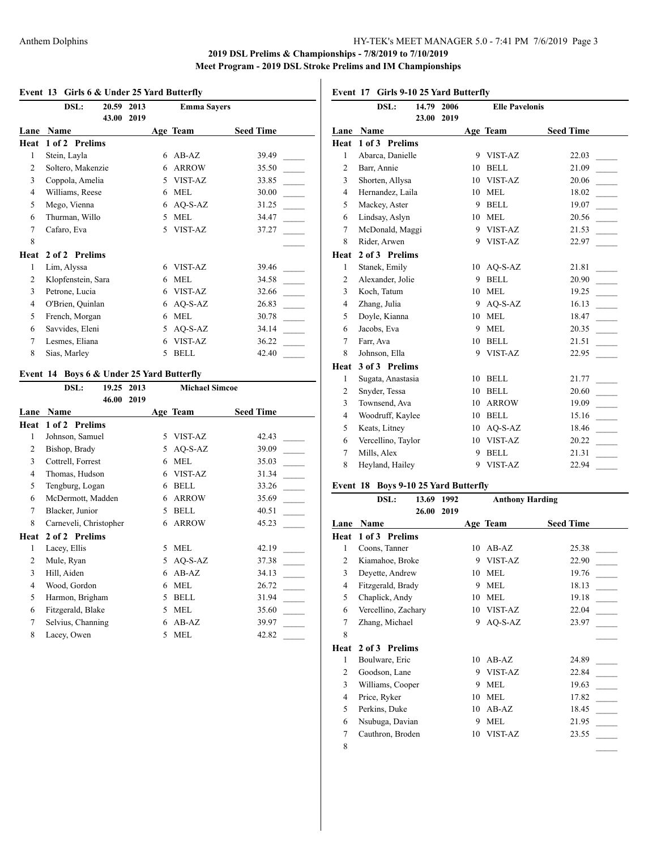$\overline{1}$ 

#### **Event 13 Girls 6 & Under 25 Yard Butterfly**

| DSL:               |      |       | <b>Emma Sayers</b> |                  |
|--------------------|------|-------|--------------------|------------------|
|                    | 2019 |       |                    |                  |
| Name               |      |       |                    | <b>Seed Time</b> |
| 1 of 2 Prelims     |      |       |                    |                  |
| Stein, Layla       |      | 6     | $AB-AZ$            | 39.49            |
| Soltero, Makenzie  |      | 6     | <b>ARROW</b>       | 35.50            |
| Coppola, Amelia    |      | 5     | VIST-AZ            | 33.85            |
| Williams, Reese    |      | 6     | <b>MEL</b>         | 30.00            |
| Mego, Vienna       |      | 6     | $AO-S-AZ$          | 31.25            |
| Thurman, Willo     |      | 5     | <b>MEL</b>         | 34.47            |
| Cafaro, Eva        |      | 5     | VIST-AZ            | 37.27            |
|                    |      |       |                    |                  |
| 2 of 2 Prelims     |      |       |                    |                  |
| Lim, Alyssa        |      | 6     | VIST-AZ            | 39.46            |
| Klopfenstein, Sara |      | 6     | <b>MEL</b>         | 34.58            |
| Petrone, Lucia     |      | 6     | VIST-AZ            | 32.66            |
| O'Brien, Quinlan   |      | 6     | AQ-S-AZ            | 26.83            |
| French, Morgan     |      | 6     | <b>MEL</b>         | 30.78            |
| Savvides, Eleni    |      | 5     | $AO-S-AZ$          | 34.14            |
| Lesmes, Eliana     |      | 6     | VIST-AZ            | 36.22            |
| Sias, Marley       |      | 5     | <b>BELL</b>        | 42.40            |
|                    |      | 43.00 | 20.59 2013         | Age Team         |

#### **Event 14 Boys 6 & Under 25 Yard Butterfly**

| DSL:<br>19.25          | 2013 | <b>Michael Simcoe</b> |              |                  |
|------------------------|------|-----------------------|--------------|------------------|
| 46.00                  | 2019 |                       |              |                  |
| Name                   |      |                       |              | <b>Seed Time</b> |
| 1 of 2 Prelims         |      |                       |              |                  |
| Johnson, Samuel        |      | $\overline{5}$        | VIST-AZ      | 42.43            |
| Bishop, Brady          |      | 5                     | AQ-S-AZ      | 39.09            |
| Cottrell, Forrest      |      | 6                     | <b>MEL</b>   | 35.03            |
| Thomas, Hudson         |      | 6                     | VIST-AZ      | 31.34            |
| Tengburg, Logan        |      | 6                     | <b>BELL</b>  | 33.26            |
| McDermott, Madden      |      | 6                     | <b>ARROW</b> | 35.69            |
| Blacker, Junior        |      | 5                     | <b>BELL</b>  | 40.51            |
| Carneveli, Christopher |      | 6                     | <b>ARROW</b> | 45.23            |
| 2 of 2 Prelims         |      |                       |              |                  |
| Lacey, Ellis           |      | 5                     | <b>MEL</b>   | 42.19            |
| Mule, Ryan             |      | 5                     | AQ-S-AZ      | 37.38            |
| Hill, Aiden            |      | 6                     | $AB-AZ$      | 34.13            |
| Wood, Gordon           |      | 6                     | <b>MEL</b>   | 26.72            |
| Harmon, Brigham        |      | 5                     | <b>BELL</b>  | 31.94            |
| Fitzgerald, Blake      |      | 5                     | <b>MEL</b>   | 35.60            |
| Selvius, Channing      |      | 6                     | $AB-AZ$      | 39.97            |
| Lacey, Owen            |      | 5                     | <b>MEL</b>   | 42.82            |
|                        |      |                       |              | Age Team         |

**Event 17 Girls 9-10 25 Yard Butterfly**

|                | DSL:               | 14.79 | 2006 |    | <b>Elle Pavelonis</b> |                  |
|----------------|--------------------|-------|------|----|-----------------------|------------------|
|                |                    | 23.00 | 2019 |    |                       |                  |
| Lane           | Name               |       |      |    | Age Team              | <b>Seed Time</b> |
| Heat           | 1 of 3 Prelims     |       |      |    |                       |                  |
| 1              | Abarca, Danielle   |       |      | 9  | VIST-AZ               | 22.03            |
| $\overline{2}$ | Barr, Annie        |       |      | 10 | <b>BELL</b>           | 21.09            |
| 3              | Shorten, Allysa    |       |      | 10 | VIST-AZ               | 20.06            |
| $\overline{4}$ | Hernandez, Laila   |       |      | 10 | <b>MEL</b>            | 18.02            |
| 5              | Mackey, Aster      |       |      | 9  | <b>BELL</b>           | 19.07            |
| 6              | Lindsay, Aslyn     |       |      | 10 | <b>MEL</b>            | 20.56            |
| 7              | McDonald, Maggi    |       |      | 9  | VIST-AZ               | 21.53            |
| 8              | Rider, Arwen       |       |      | 9  | VIST-AZ               | 22.97            |
| Heat           | 2 of 3 Prelims     |       |      |    |                       |                  |
| 1              | Stanek, Emily      |       |      | 10 | $AQ-S-AZ$             | 21.81            |
| $\mathfrak{2}$ | Alexander, Jolie   |       |      | 9  | <b>BELL</b>           | 20.90            |
| 3              | Koch, Tatum        |       |      | 10 | <b>MEL</b>            | 19.25            |
| $\overline{4}$ | Zhang, Julia       |       |      | 9  | $AO-S-AZ$             | 16.13            |
| 5              | Doyle, Kianna      |       |      | 10 | <b>MEL</b>            | 18.47            |
| 6              | Jacobs, Eva        |       |      | 9  | <b>MEL</b>            | 20.35            |
| 7              | Farr, Ava          |       |      | 10 | <b>BELL</b>           | 21.51            |
| 8              | Johnson, Ella      |       |      | 9  | VIST-AZ               | 22.95            |
| Heat           | 3 of 3 Prelims     |       |      |    |                       |                  |
| $\mathbf{1}$   | Sugata, Anastasia  |       |      | 10 | <b>BELL</b>           | 21.77            |
| 2              | Snyder, Tessa      |       |      | 10 | <b>BELL</b>           | 20.60            |
| 3              | Townsend, Ava      |       |      | 10 | <b>ARROW</b>          | 19.09            |
| $\overline{4}$ | Woodruff, Kaylee   |       |      | 10 | <b>BELL</b>           | 15.16            |
| 5              | Keats, Litney      |       |      | 10 | $AQ-S-AZ$             | 18.46            |
| 6              | Vercellino, Taylor |       |      | 10 | VIST-AZ               | 20.22            |
| $\tau$         | Mills, Alex        |       |      | 9  | <b>BELL</b>           | 21.31            |
| 8              | Heyland, Hailey    |       |      | 9  | VIST-AZ               | 22.94            |
|                |                    |       |      |    |                       |                  |

## **Event 18 Boys 9-10 25 Yard Butterfly**

|                | DSL:                | 13.69 | 1992 | <b>Anthony Harding</b> |            |                  |  |
|----------------|---------------------|-------|------|------------------------|------------|------------------|--|
|                |                     | 26.00 | 2019 |                        |            |                  |  |
| Lane           | Name                |       |      |                        | Age Team   | <b>Seed Time</b> |  |
| Heat           | 1 of 3 Prelims      |       |      |                        |            |                  |  |
| 1              | Coons, Tanner       |       |      | 10                     | $AB-AZ$    | 25.38            |  |
| $\overline{c}$ | Kiamahoe, Broke     |       |      | 9                      | VIST-AZ    | 22.90            |  |
| 3              | Deyette, Andrew     |       |      | 10                     | <b>MEL</b> | 19.76            |  |
| 4              | Fitzgerald, Brady   |       |      | 9                      | <b>MEL</b> | 18.13            |  |
| 5              | Chaplick, Andy      |       |      | 10                     | <b>MEL</b> | 19.18            |  |
| 6              | Vercellino, Zachary |       |      | 10                     | VIST-AZ    | 22.04            |  |
| 7              | Zhang, Michael      |       |      | 9                      | $AO-S-AZ$  | 23.97            |  |
| 8              |                     |       |      |                        |            |                  |  |
| Heat           | 2 of 3 Prelims      |       |      |                        |            |                  |  |
| 1              | Boulware, Eric      |       |      | 10                     | $AB-AZ$    | 24.89            |  |
| 2              | Goodson, Lane       |       |      | 9                      | VIST-AZ    | 22.84            |  |
| 3              | Williams, Cooper    |       |      | 9                      | <b>MEL</b> | 19.63            |  |
| $\overline{4}$ | Price, Ryker        |       |      | 10                     | <b>MEL</b> | 17.82            |  |
| 5              | Perkins, Duke       |       |      | 10                     | $AB-AZ$    | 18.45            |  |
| 6              | Nsubuga, Davian     |       |      | 9                      | <b>MEL</b> | 21.95            |  |
| 7              | Cauthron, Broden    |       |      | 10                     | VIST-AZ    | 23.55            |  |
| 8              |                     |       |      |                        |            |                  |  |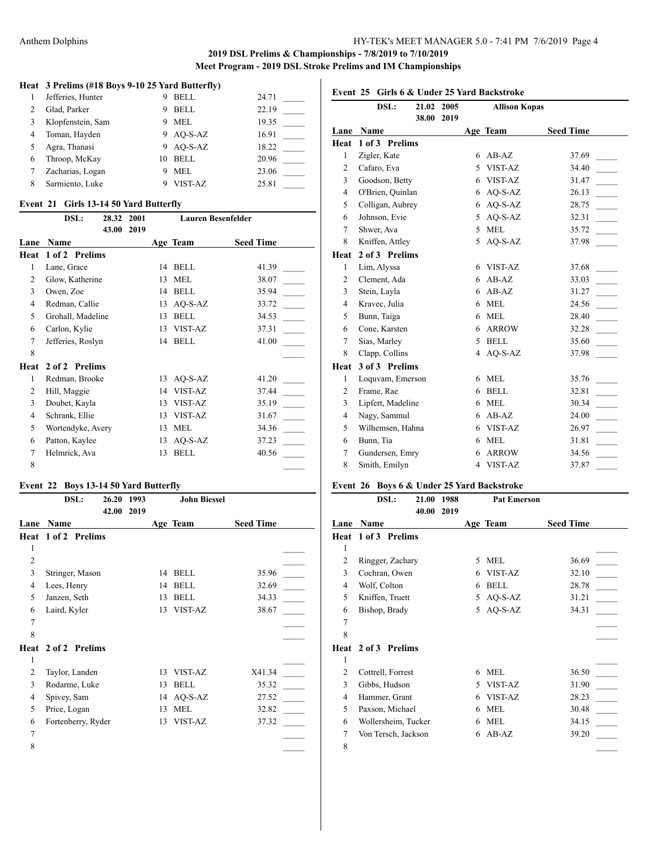$\overline{\phantom{a}}$ 

#### **Heat 3 Prelims (#18 Boys 9-10 25 Yard Butterfly)**

| 1              | Jefferies, Hunter | 9  | BELL        | 24.71 |
|----------------|-------------------|----|-------------|-------|
| $\mathfrak{D}$ | Glad, Parker      | 9  | <b>BELL</b> | 22.19 |
| 3              | Klopfenstein, Sam | 9  | MEL         | 19.35 |
| 4              | Toman, Hayden     |    | 9 AO-S-AZ   | 16.91 |
| 5              | Agra, Thanasi     |    | 9 AO-S-AZ   | 18.22 |
| 6              | Throop, McKay     | 10 | BELL        | 20.96 |
|                | Zacharias, Logan  |    | MEL         | 23.06 |
| 8              | Sarmiento, Luke   |    | VIST-AZ     | 25.81 |

#### **Event 21 Girls 13-14 50 Yard Butterfly**

|      | DSL:              | 28.32 | 2001 |    | <b>Lauren Besenfelder</b> |                  |  |
|------|-------------------|-------|------|----|---------------------------|------------------|--|
|      |                   | 43.00 | 2019 |    |                           |                  |  |
| Lane | Name              |       |      |    | Age Team                  | <b>Seed Time</b> |  |
| Heat | 1 of 2 Prelims    |       |      |    |                           |                  |  |
| 1    | Lane, Grace       |       |      | 14 | <b>BELL</b>               | 41.39            |  |
| 2    | Glow, Katherine   |       |      | 13 | <b>MEL</b>                | 38.07            |  |
| 3    | Owen, Zoe         |       |      | 14 | <b>BELL</b>               | 35.94            |  |
| 4    | Redman, Callie    |       |      | 13 | $AO-S-AZ$                 | 33.72            |  |
| 5    | Grohall, Madeline |       |      | 13 | <b>BELL</b>               | 34.53            |  |
| 6    | Carlon, Kylie     |       |      | 13 | VIST-AZ                   | 37.31            |  |
| 7    | Jefferies, Roslyn |       |      | 14 | <b>BELL</b>               | 41.00            |  |
| 8    |                   |       |      |    |                           |                  |  |
| Heat | 2 of 2 Prelims    |       |      |    |                           |                  |  |
| 1    | Redman, Brooke    |       |      | 13 | AQ-S-AZ                   | 41.20            |  |
| 2    | Hill, Maggie      |       |      | 14 | VIST-AZ                   | 37.44            |  |
| 3    | Doubet, Kayla     |       |      | 13 | VIST-AZ                   | 35.19            |  |
| 4    | Schrank, Ellie    |       |      | 13 | VIST-AZ                   | 31.67            |  |
| 5    | Wortendyke, Avery |       |      | 13 | <b>MEL</b>                | 34.36            |  |
| 6    | Patton, Kaylee    |       |      | 13 | $AO-S-AZ$                 | 37.23            |  |
| 7    | Helmrick, Ava     |       |      | 13 | <b>BELL</b>               | 40.56            |  |
| 8    |                   |       |      |    |                           |                  |  |

## **Event 22 Boys 13-14 50 Yard Butterfly**

| DSL:                   | 1993 |                        | <b>John Biessel</b> |                  |  |
|------------------------|------|------------------------|---------------------|------------------|--|
| Name                   |      |                        |                     | <b>Seed Time</b> |  |
| 1 of 2 Prelims         |      |                        |                     |                  |  |
|                        |      |                        |                     |                  |  |
|                        |      |                        |                     |                  |  |
| Stringer, Mason        |      | 14                     | <b>BELL</b>         | 35.96            |  |
| Lees, Henry            |      | 14                     | <b>BELL</b>         | 32.69            |  |
| Janzen, Seth           |      | 13                     | <b>BELL</b>         | 34.33            |  |
| Laird, Kyler           |      | 13                     | VIST-AZ             | 38.67            |  |
|                        |      |                        |                     |                  |  |
|                        |      |                        |                     |                  |  |
| Heat<br>2 of 2 Prelims |      |                        |                     |                  |  |
|                        |      |                        |                     |                  |  |
| Taylor, Landen         |      | 13                     | VIST-AZ             | X41.34           |  |
| Rodarme, Luke          |      | 13                     | <b>BELL</b>         | 35.32            |  |
| Spivey, Sam            |      | 14                     | $AO-S-AZ$           | 27.52            |  |
| Price, Logan           |      | 13                     | <b>MEL</b>          | 32.82            |  |
| Fortenberry, Ryder     |      | 13                     | VIST-AZ             | 37.32            |  |
|                        |      |                        |                     |                  |  |
|                        |      |                        |                     |                  |  |
|                        |      | 26.20<br>42.00<br>2019 |                     | Age Team         |  |

# **Event 25 Girls 6 & Under 25 Yard Backstroke**

|                | DSL:              | 21.02 | 2005 |   | <b>Allison Kopas</b> |                  |  |
|----------------|-------------------|-------|------|---|----------------------|------------------|--|
|                |                   | 38.00 | 2019 |   |                      |                  |  |
| Lane           | Name              |       |      |   | Age Team             | <b>Seed Time</b> |  |
| Heat           | 1 of 3 Prelims    |       |      |   |                      |                  |  |
| $\mathbf{1}$   | Zigler, Kate      |       |      | 6 | $AB-AZ$              | 37.69            |  |
| $\overline{2}$ | Cafaro, Eva       |       |      | 5 | VIST-AZ              | 34.40            |  |
| 3              | Goodson, Betty    |       |      | 6 | VIST-AZ              | 31.47            |  |
| $\overline{4}$ | O'Brien, Quinlan  |       |      | 6 | AQ-S-AZ              | 26.13            |  |
| 5              | Colligan, Aubrey  |       |      | 6 | AQ-S-AZ              | 28.75            |  |
| 6              | Johnson, Evie     |       |      | 5 | $AO-S-AZ$            | 32.31            |  |
| 7              | Shwer, Ava        |       |      | 5 | <b>MEL</b>           | 35.72            |  |
| 8              | Kniffen, Attley   |       |      | 5 | AQ-S-AZ              | 37.98            |  |
| Heat           | 2 of 3 Prelims    |       |      |   |                      |                  |  |
| $\mathbf{1}$   | Lim, Alyssa       |       |      | 6 | VIST-AZ              | 37.68            |  |
| $\overline{c}$ | Clement, Ada      |       |      | 6 | $AB-AZ$              | 33.03            |  |
| 3              | Stein, Layla      |       |      | 6 | $AB-AZ$              | 31.27            |  |
| 4              | Kravec, Julia     |       |      | 6 | <b>MEL</b>           | 24.56            |  |
| 5              | Bunn, Taiga       |       |      | 6 | <b>MEL</b>           | 28.40            |  |
| 6              | Cone, Karsten     |       |      | 6 | <b>ARROW</b>         | 32.28            |  |
| $\overline{7}$ | Sias, Marley      |       |      | 5 | <b>BELL</b>          | 35.60            |  |
| 8              | Clapp, Collins    |       |      | 4 | $AO-S-AZ$            | 37.98            |  |
| Heat           | 3 of 3 Prelims    |       |      |   |                      |                  |  |
| $\mathbf{1}$   | Loquvam, Emerson  |       |      | 6 | <b>MEL</b>           | 35.76            |  |
| $\overline{2}$ | Frame, Rae        |       |      | 6 | <b>BELL</b>          | 32.81            |  |
| 3              | Lipfert, Madeline |       |      | 6 | <b>MEL</b>           | 30.34            |  |
| 4              | Nagy, Sammul      |       |      | 6 | $AB-AZ$              | 24.00            |  |
| 5              | Wilhemsen, Hahna  |       |      | 6 | VIST-AZ              | 26.97            |  |
| 6              | Bunn, Tia         |       |      | 6 | <b>MEL</b>           | 31.81            |  |
| 7              | Gundersen, Emry   |       |      | 6 | <b>ARROW</b>         | 34.56            |  |
| 8              | Smith, Emilyn     |       |      | 4 | VIST-AZ              | 37.87            |  |
|                |                   |       |      |   |                      |                  |  |

## **Event 26 Boys 6 & Under 25 Yard Backstroke**

|                | DSL:                       | 21.00<br>40.00 | 1988<br>2019 |    | <b>Pat Emerson</b> |                  |
|----------------|----------------------------|----------------|--------------|----|--------------------|------------------|
| Lane           | Name                       |                |              |    | Age Team           | <b>Seed Time</b> |
|                | <b>Heat 1 of 3 Prelims</b> |                |              |    |                    |                  |
| 1              |                            |                |              |    |                    |                  |
| $\overline{2}$ | Ringger, Zachary           |                |              | 5  | <b>MEL</b>         | 36.69            |
| 3              | Cochran, Owen              |                |              | 6  | VIST-AZ            | 32.10            |
| 4              | Wolf, Colton               |                |              | 6  | <b>BELL</b>        | 28.78            |
| 5              | Kniffen, Truett            |                |              | 5  | $AQ-S-AZ$          | 31.21            |
| 6              | Bishop, Brady              |                |              | 5  | $AO-S-AZ$          | 34.31            |
| 7              |                            |                |              |    |                    |                  |
| 8              |                            |                |              |    |                    |                  |
| Heat           | 2 of 3 Prelims             |                |              |    |                    |                  |
| 1              |                            |                |              |    |                    |                  |
| $\overline{2}$ | Cottrell, Forrest          |                |              | 6  | <b>MEL</b>         | 36.50            |
| 3              | Gibbs, Hudson              |                |              | 5. | VIST-AZ            | 31.90            |
| 4              | Hammer, Grant              |                |              | 6  | VIST-AZ            | 28.23            |
| 5              | Paxson, Michael            |                |              | 6  | <b>MEL</b>         | 30.48            |
| 6              | Wollersheim, Tucker        |                |              | 6  | <b>MEL</b>         | 34.15            |
| 7              | Von Tersch, Jackson        |                |              | 6  | $AB-AZ$            | 39.20            |
| 8              |                            |                |              |    |                    |                  |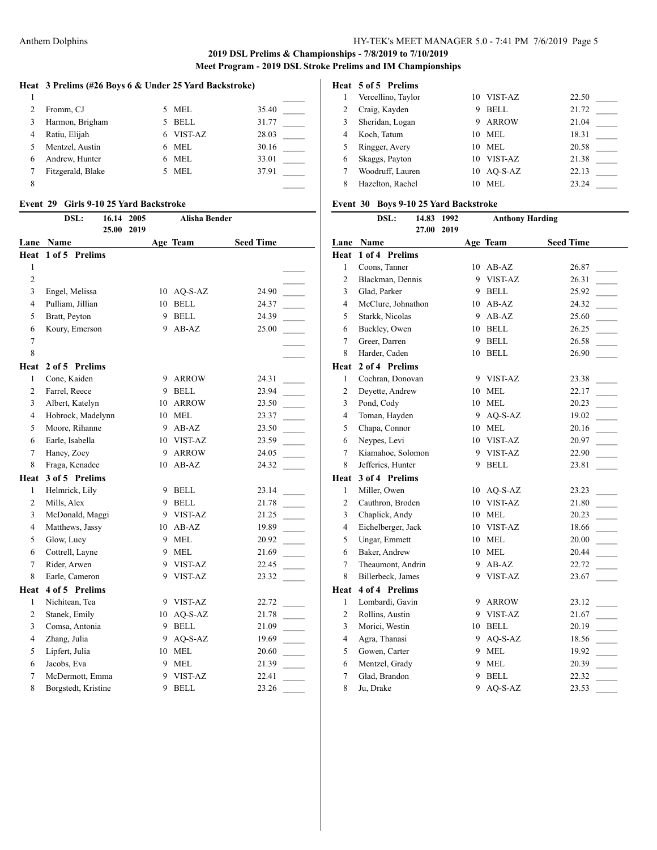|  |  |  |  | Heat 3 Prelims (#26 Boys 6 & Under 25 Yard Backstroke) |
|--|--|--|--|--------------------------------------------------------|
|--|--|--|--|--------------------------------------------------------|

|   | Fromm, CJ         | 5. | MEL         | 35.40 |
|---|-------------------|----|-------------|-------|
|   | Harmon, Brigham   | 5  | <b>BELL</b> | 31.77 |
| 4 | Ratiu, Elijah     | 6  | VIST-AZ     | 28.03 |
|   | Mentzel, Austin   | 6  | MEL         | 30.16 |
| 6 | Andrew, Hunter    | 6  | MEL         | 33.01 |
|   | Fitzgerald, Blake |    | MEL         | 37.91 |
| 8 |                   |    |             |       |

#### **Event 29 Girls 9-10 25 Yard Backstroke**

|                         | DSL:<br>16.14<br>25.00 | 2005<br>2019 |    | <b>Alisha Bender</b> |                  |  |
|-------------------------|------------------------|--------------|----|----------------------|------------------|--|
| Lane                    | Name                   |              |    | Age Team             | <b>Seed Time</b> |  |
| Heat                    | 1 of 5 Prelims         |              |    |                      |                  |  |
| 1                       |                        |              |    |                      |                  |  |
| $\overline{c}$          |                        |              |    |                      |                  |  |
| 3                       | Engel, Melissa         |              |    | $10$ AQ-S-AZ         | 24.90            |  |
| 4                       | Pulliam, Jillian       |              |    | 10 BELL              | 24.37            |  |
| 5                       | Bratt, Peyton          |              | 9  | <b>BELL</b>          | 24.39            |  |
| 6                       | Koury, Emerson         |              | 9  | $AB-AZ$              | 25.00            |  |
| 7                       |                        |              |    |                      |                  |  |
| 8                       |                        |              |    |                      |                  |  |
| Heat                    | 2 of 5 Prelims         |              |    |                      |                  |  |
| 1                       | Cone, Kaiden           |              | 9  | <b>ARROW</b>         | 24.31            |  |
| $\overline{c}$          | Farrel, Reece          |              | 9  | <b>BELL</b>          | 23.94            |  |
| 3                       | Albert, Katelyn        |              | 10 | <b>ARROW</b>         | 23.50            |  |
| $\overline{\mathbf{4}}$ | Hobrock, Madelynn      |              | 10 | <b>MEL</b>           | 23.37            |  |
| 5                       | Moore, Rihanne         |              | 9  | $AB-AZ$              | 23.50            |  |
| 6                       | Earle, Isabella        |              |    | 10 VIST-AZ           | 23.59            |  |
| $\overline{7}$          | Haney, Zoey            |              | 9  | <b>ARROW</b>         | 24.05            |  |
| 8                       | Fraga, Kenadee         |              | 10 | $AB-AZ$              | 24.32            |  |
| Heat                    | 3 of 5 Prelims         |              |    |                      |                  |  |
| $\mathbf{1}$            | Helmrick, Lily         |              | 9  | <b>BELL</b>          | 23.14            |  |
| 2                       | Mills, Alex            |              | 9. | <b>BELL</b>          | 21.78            |  |
| 3                       | McDonald, Maggi        |              | 9. | VIST-AZ              | 21.25            |  |
| 4                       | Matthews, Jassy        |              | 10 | $AB-AZ$              | 19.89            |  |
| 5                       | Glow, Lucy             |              | 9  | <b>MEL</b>           | 20.92            |  |
| 6                       | Cottrell, Layne        |              | 9  | <b>MEL</b>           | 21.69            |  |
| 7                       | Rider, Arwen           |              | 9. | VIST-AZ              | 22.45            |  |
| 8                       | Earle, Cameron         |              | 9  | VIST-AZ              | 23.32            |  |
| Heat                    | 4 of 5 Prelims         |              |    |                      |                  |  |
| 1                       | Nichitean, Tea         |              |    | 9 VIST-AZ            | 22.72            |  |
| $\overline{2}$          | Stanek, Emily          |              |    | 10 AQ-S-AZ           | 21.78            |  |
| 3                       | Comsa, Antonia         |              | 9  | <b>BELL</b>          | 21.09            |  |
| 4                       | Zhang, Julia           |              | 9. | AQ-S-AZ              | 19.69            |  |
| 5                       | Lipfert, Julia         |              |    | 10 MEL               | 20.60            |  |
| 6                       | Jacobs, Eva            |              | 9  | <b>MEL</b>           | 21.39            |  |
| 7                       | McDermott, Emma        |              | 9  | VIST-AZ              | 22.41            |  |
| 8                       | Borgstedt, Kristine    |              | 9  | <b>BELL</b>          | 23.26            |  |

#### **Heat 5 of 5 Prelims**

|   | Vercellino, Taylor | 10 | VIST-AZ      | 22.50 |
|---|--------------------|----|--------------|-------|
|   | Craig, Kayden      | 9  | <b>BELL</b>  | 21.72 |
| 3 | Sheridan, Logan    | 9  | <b>ARROW</b> | 21.04 |
| 4 | Koch, Tatum        | 10 | MEL.         | 18.31 |
|   | Ringger, Avery     | 10 | MEL.         | 20.58 |
| 6 | Skaggs, Payton     | 10 | VIST-AZ      | 21.38 |
|   | Woodruff, Lauren   |    | 10 AO-S-AZ   | 22.13 |
| 8 | Hazelton, Rachel   | 10 | MEL.         | 23.24 |

## **Event 30 Boys 9-10 25 Yard Backstroke**

|                | DSL:<br>14.83      | 1992 |    | <b>Anthony Harding</b> |                  |  |
|----------------|--------------------|------|----|------------------------|------------------|--|
|                | 27.00              | 2019 |    |                        |                  |  |
| Lane           | Name               |      |    | Age Team               | <b>Seed Time</b> |  |
| Heat           | 1 of 4 Prelims     |      |    |                        |                  |  |
| 1              | Coons, Tanner      |      | 10 | $AB-AZ$                | 26.87            |  |
| 2              | Blackman, Dennis   |      | 9  | VIST-AZ                | 26.31            |  |
| 3              | Glad, Parker       |      | 9  | <b>BELL</b>            | 25.92            |  |
| $\overline{4}$ | McClure, Johnathon |      | 10 | $AB-AZ$                | 24.32            |  |
| 5              | Starkk, Nicolas    |      | 9  | AB-AZ                  | 25.60            |  |
| 6              | Buckley, Owen      |      | 10 | <b>BELL</b>            | 26.25            |  |
| 7              | Greer, Darren      |      | 9  | <b>BELL</b>            | 26.58            |  |
| 8              | Harder, Caden      |      | 10 | <b>BELL</b>            | 26.90            |  |
| Heat           | 2 of 4 Prelims     |      |    |                        |                  |  |
| $\mathbf{1}$   | Cochran, Donovan   |      | 9  | VIST-AZ                | 23.38            |  |
| $\overline{2}$ | Deyette, Andrew    |      | 10 | <b>MEL</b>             | 22.17            |  |
| 3              | Pond, Cody         |      | 10 | <b>MEL</b>             | 20.23            |  |
| 4              | Toman, Hayden      |      | 9  | AQ-S-AZ                | 19.02            |  |
| 5              | Chapa, Connor      |      | 10 | <b>MEL</b>             | 20.16            |  |
| 6              | Neypes, Levi       |      | 10 | <b>VIST-AZ</b>         | 20.97            |  |
| 7              | Kiamahoe, Solomon  |      | 9  | VIST-AZ                | 22.90            |  |
| 8              | Jefferies, Hunter  |      | 9  | <b>BELL</b>            | 23.81            |  |
| Heat           | 3 of 4 Prelims     |      |    |                        |                  |  |
| $\mathbf{1}$   | Miller, Owen       |      | 10 | AQ-S-AZ                | 23.23            |  |
| $\overline{c}$ | Cauthron, Broden   |      |    | 10 VIST-AZ             | 21.80            |  |
| 3              | Chaplick, Andy     |      | 10 | <b>MEL</b>             | 20.23            |  |
| $\overline{4}$ | Eichelberger, Jack |      | 10 | VIST-AZ                | 18.66            |  |
| 5              | Ungar, Emmett      |      | 10 | <b>MEL</b>             | 20.00            |  |
| 6              | Baker, Andrew      |      | 10 | <b>MEL</b>             | 20.44            |  |
| $\overline{7}$ | Theaumont, Andrin  |      | 9  | $AB-AZ$                | 22.72            |  |
| 8              | Billerbeck, James  |      | 9  | VIST-AZ                | 23.67            |  |
| Heat           | 4 of 4 Prelims     |      |    |                        |                  |  |
| 1              | Lombardi, Gavin    |      | 9  | <b>ARROW</b>           | 23.12            |  |
| 2              | Rollins, Austin    |      | 9  | VIST-AZ                | 21.67            |  |
| 3              | Morici, Westin     |      | 10 | <b>BELL</b>            | 20.19            |  |
| 4              | Agra, Thanasi      |      | 9  | AQ-S-AZ                | 18.56            |  |
| 5              | Gowen, Carter      |      | 9  | <b>MEL</b>             | 19.92            |  |
| 6              | Mentzel, Grady     |      | 9  | <b>MEL</b>             | 20.39            |  |
| 7              | Glad, Brandon      |      | 9  | <b>BELL</b>            | 22.32            |  |
| 8              | Ju, Drake          |      | 9  | AQ-S-AZ                | 23.53            |  |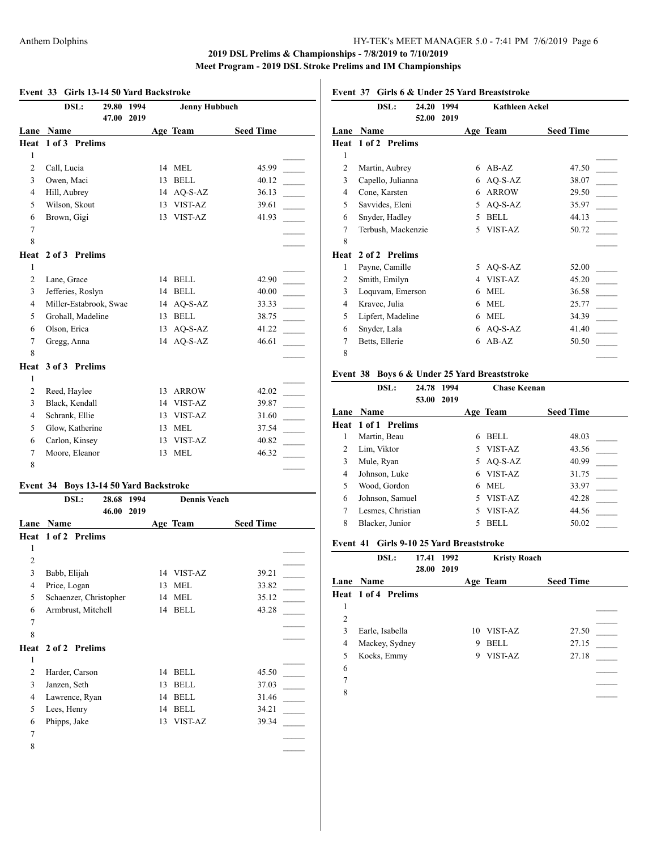## Anthem Dolphins HY-TEK's MEET MANAGER 5.0 - 7:41 PM 7/6/2019 Page 6

## **2019 DSL Prelims & Championships - 7/8/2019 to 7/10/2019 Meet Program - 2019 DSL Stroke Prelims and IM Championships**

|                | DSL:                                   | 29.80 | 1994 |    | <b>Jenny Hubbuch</b> |                         |
|----------------|----------------------------------------|-------|------|----|----------------------|-------------------------|
|                |                                        | 47.00 | 2019 |    |                      |                         |
| Lane           | Name                                   |       |      |    | Age Team             | <b>Seed Time</b>        |
| Heat           | 1 of 3 Prelims                         |       |      |    |                      |                         |
| 1              |                                        |       |      |    |                      |                         |
| $\overline{2}$ | Call, Lucia                            |       |      |    | 14 MEL               | 45.99                   |
| 3              | Owen, Maci                             |       |      | 13 | <b>BELL</b>          | 40.12                   |
| 4              | Hill, Aubrey                           |       |      |    | 14 AQ-S-AZ           | 36.13                   |
| 5              | Wilson, Skout                          |       |      |    | 13 VIST-AZ           | 39.61                   |
| 6              | Brown, Gigi                            |       |      | 13 | <b>VIST-AZ</b>       | 41.93                   |
| $\overline{7}$ |                                        |       |      |    |                      |                         |
| 8              |                                        |       |      |    |                      |                         |
| Heat           | 2 of 3 Prelims                         |       |      |    |                      |                         |
| $\mathbf{1}$   |                                        |       |      |    |                      |                         |
| $\overline{c}$ | Lane, Grace                            |       |      | 14 | <b>BELL</b>          | 42.90                   |
| 3              | Jefferies, Roslyn                      |       |      | 14 | <b>BELL</b>          | 40.00<br>$\sim 10^{-1}$ |
| $\overline{4}$ | Miller-Estabrook, Swae                 |       |      |    | 14 AQ-S-AZ           | 33.33                   |
| 5              | Grohall, Madeline                      |       |      | 13 | <b>BELL</b>          | 38.75                   |
| 6              | Olson, Erica                           |       |      | 13 | AQ-S-AZ              | 41.22                   |
| 7              | Gregg, Anna                            |       |      |    | 14 AQ-S-AZ           | 46.61                   |
| 8              |                                        |       |      |    |                      |                         |
| Heat           | 3 of 3 Prelims                         |       |      |    |                      |                         |
| $\mathbf{1}$   |                                        |       |      |    |                      |                         |
| $\overline{c}$ | Reed, Haylee                           |       |      |    | 13 ARROW             | 42.02                   |
| 3              | Black, Kendall                         |       |      |    | 14 VIST-AZ           | 39.87                   |
| $\overline{4}$ | Schrank, Ellie                         |       |      |    | 13 VIST-AZ           | 31.60                   |
| 5              | Glow, Katherine                        |       |      | 13 | <b>MEL</b>           | 37.54                   |
| 6              | Carlon, Kinsey                         |       |      | 13 | VIST-AZ              | 40.82<br>$\sim 10^{-1}$ |
| $\overline{7}$ | Moore, Eleanor                         |       |      | 13 | <b>MEL</b>           | 46.32                   |
| 8              |                                        |       |      |    |                      |                         |
|                | Event 34 Boys 13-14 50 Yard Backstroke |       |      |    |                      |                         |
|                | DSL:                                   | 28.68 | 1994 |    | <b>Dennis Veach</b>  |                         |
|                |                                        | 46.00 | 2019 |    |                      |                         |
|                | Tana Nama                              |       |      |    | Ago Toom             | Sood Time               |

| Lane           | Name                       |    | Age Team    | <b>Seed Time</b> |  |
|----------------|----------------------------|----|-------------|------------------|--|
|                | Heat 1 of 2 Prelims        |    |             |                  |  |
| 1              |                            |    |             |                  |  |
| $\overline{2}$ |                            |    |             |                  |  |
| 3              | Babb, Elijah               |    | 14 VIST-AZ  | 39.21            |  |
| 4              | Price, Logan               | 13 | <b>MEL</b>  | 33.82            |  |
| 5              | Schaenzer, Christopher     | 14 | <b>MEL</b>  | 35.12            |  |
| 6              | Armbrust, Mitchell         | 14 | <b>BELL</b> | 43.28            |  |
| 7              |                            |    |             |                  |  |
| 8              |                            |    |             |                  |  |
|                | <b>Heat 2 of 2 Prelims</b> |    |             |                  |  |
| 1              |                            |    |             |                  |  |
| 2              | Harder, Carson             | 14 | <b>BELL</b> | 45.50            |  |
| 3              | Janzen, Seth               | 13 | <b>BELL</b> | 37.03            |  |
| 4              | Lawrence, Ryan             | 14 | <b>BELL</b> | 31.46            |  |
| 5              | Lees, Henry                | 14 | <b>BELL</b> | 34.21            |  |
| 6              | Phipps, Jake               | 13 | VIST-AZ     | 39.34            |  |
| 7              |                            |    |             |                  |  |
| 8              |                            |    |             |                  |  |
|                |                            |    |             |                  |  |

## **Event 37 Girls 6 & Under 25 Yard Breaststroke**

|                | DSL:               | 24.20 | 1994 |    | <b>Kathleen Ackel</b> |                  |  |
|----------------|--------------------|-------|------|----|-----------------------|------------------|--|
|                |                    | 52.00 | 2019 |    |                       |                  |  |
| Lane           | Name               |       |      |    | Age Team              | <b>Seed Time</b> |  |
| Heat           | 1 of 2 Prelims     |       |      |    |                       |                  |  |
| 1              |                    |       |      |    |                       |                  |  |
| $\overline{c}$ | Martin, Aubrey     |       |      | 6  | $AB-AZ$               | 47.50            |  |
| 3              | Capello, Julianna  |       |      | 6  | $AO-S-AZ$             | 38.07            |  |
| 4              | Cone, Karsten      |       |      | 6  | <b>ARROW</b>          | 29.50            |  |
| 5              | Savvides, Eleni    |       |      | 5. | $AQ-S-AZ$             | 35.97            |  |
| 6              | Snyder, Hadley     |       |      | 5  | <b>BELL</b>           | 44.13            |  |
| 7              | Terbush, Mackenzie |       |      | 5  | VIST-AZ               | 50.72            |  |
| 8              |                    |       |      |    |                       |                  |  |
| Heat           | 2 of 2 Prelims     |       |      |    |                       |                  |  |
| 1              | Payne, Camille     |       |      | 5. | $AQ-S-AZ$             | 52.00            |  |
| 2              | Smith, Emilyn      |       |      | 4  | VIST-AZ               | 45.20            |  |
| 3              | Loquvam, Emerson   |       |      | 6  | MEL                   | 36.58            |  |
| 4              | Kravec, Julia      |       |      | 6  | MEL                   | 25.77            |  |
| 5              | Lipfert, Madeline  |       |      | 6  | <b>MEL</b>            | 34.39            |  |
| 6              | Snyder, Lala       |       |      | 6  | $AQ-S-AZ$             | 41.40            |  |
| 7              | Betts, Ellerie     |       |      | 6  | $AB-AZ$               | 50.50            |  |
| 8              |                    |       |      |    |                       |                  |  |

# **Event 38 Boys 6 & Under 25 Yard Breaststroke**

|                | DSL:                       | 24.78 | 1994 |   | Chase Keenan |                  |
|----------------|----------------------------|-------|------|---|--------------|------------------|
|                |                            | 53.00 | 2019 |   |              |                  |
| Lane           | <b>Name</b>                |       |      |   | Age Team     | <b>Seed Time</b> |
|                | <b>Heat 1 of 1 Prelims</b> |       |      |   |              |                  |
| 1              | Martin, Beau               |       |      | 6 | BELL         | 48.03            |
| $\overline{c}$ | Lim, Viktor                |       |      | 5 | VIST-AZ      | 43.56            |
| 3              | Mule, Ryan                 |       |      | 5 | $AO-S-AZ$    | 40.99            |
| 4              | Johnson, Luke              |       |      | 6 | VIST-AZ      | 31.75            |
| 5              | Wood, Gordon               |       |      | 6 | MEL.         | 33.97            |
| 6              | Johnson, Samuel            |       |      | 5 | VIST-AZ      | 42.28            |
| 7              | Lesmes, Christian          |       |      | 5 | VIST-AZ      | 44.56            |
| 8              | Blacker, Junior            |       |      | 5 | <b>BELL</b>  | 50.02            |

# **Event 41 Girls 9-10 25 Yard Breaststroke**

|   | DSL:                | 17.41 1992 |      |   | <b>Kristy Roach</b> |                  |  |
|---|---------------------|------------|------|---|---------------------|------------------|--|
|   |                     | 28.00      | 2019 |   |                     |                  |  |
|   | <b>Lane Name</b>    |            |      |   | Age Team            | <b>Seed Time</b> |  |
|   | Heat 1 of 4 Prelims |            |      |   |                     |                  |  |
| 1 |                     |            |      |   |                     |                  |  |
| 2 |                     |            |      |   |                     |                  |  |
| 3 | Earle, Isabella     |            |      |   | 10 VIST-AZ          | 27.50            |  |
| 4 | Mackey, Sydney      |            |      | 9 | <b>BELL</b>         | 27.15            |  |
| 5 | Kocks, Emmy         |            |      | 9 | VIST-AZ             | 27.18            |  |
| 6 |                     |            |      |   |                     |                  |  |
| 7 |                     |            |      |   |                     |                  |  |
| 8 |                     |            |      |   |                     |                  |  |
|   |                     |            |      |   |                     |                  |  |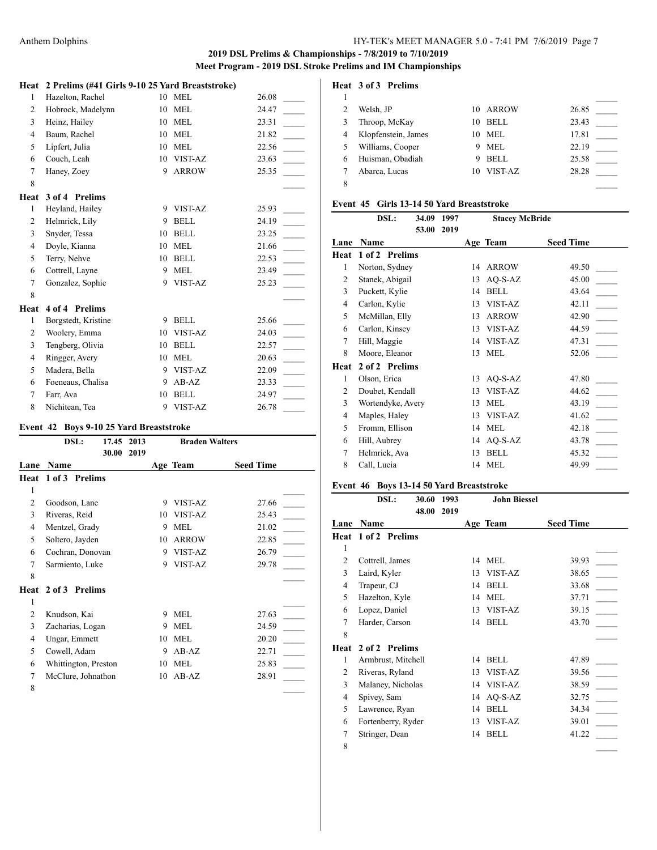# **Heat 2 Prelims (#41 Girls 9-10 25 Yard Breaststroke)**

| 1              | Hazelton, Rachel    | 10 | <b>MEL</b>   | 26.08                             |
|----------------|---------------------|----|--------------|-----------------------------------|
| $\overline{c}$ | Hobrock, Madelynn   | 10 | <b>MEL</b>   | 24.47                             |
| 3              | Heinz, Hailey       | 10 | <b>MEL</b>   | 23.31                             |
| 4              | Baum, Rachel        | 10 | <b>MEL</b>   | 21.82                             |
| 5              | Lipfert, Julia      | 10 | <b>MEL</b>   | 22.56                             |
| 6              | Couch, Leah         | 10 | VIST-AZ      | 23.63                             |
| 7              | Haney, Zoey         | 9  | <b>ARROW</b> | 25.35                             |
| 8              |                     |    |              |                                   |
| Heat           | 3 of 4 Prelims      |    |              |                                   |
| 1              | Heyland, Hailey     | 9  | VIST-AZ      | 25.93                             |
| $\overline{2}$ | Helmrick, Lily      | 9  | <b>BELL</b>  | 24.19                             |
| $\overline{3}$ | Snyder, Tessa       | 10 | <b>BELL</b>  | 23.25                             |
| 4              | Doyle, Kianna       | 10 | <b>MEL</b>   | 21.66<br>$\overline{\phantom{a}}$ |
| 5              | Terry, Nehve        | 10 | <b>BELL</b>  | 22.53                             |
| 6              | Cottrell, Layne     | 9  | <b>MEL</b>   | 23.49                             |
| 7              | Gonzalez, Sophie    | 9  | VIST-AZ      | 25.23                             |
| 8              |                     |    |              |                                   |
| Heat           | 4 of 4 Prelims      |    |              |                                   |
| 1              | Borgstedt, Kristine | 9  | <b>BELL</b>  | 25.66                             |
| $\mathfrak{2}$ | Woolery, Emma       | 10 | VIST-AZ      | 24.03                             |
| 3              | Tengberg, Olivia    | 10 | <b>BELL</b>  | 22.57                             |
| 4              | Ringger, Avery      | 10 | <b>MEL</b>   | 20.63                             |
| 5              | Madera, Bella       | 9  | VIST-AZ      | 22.09                             |
| 6              | Foeneaus, Chalisa   | 9  | $AB-AZ$      | 23.33<br>$\sim$                   |
| 7              | Farr, Ava           | 10 | <b>BELL</b>  | 24.97                             |
| 8              | Nichitean, Tea      | 9  | VIST-AZ      | 26.78                             |

#### **Event 42 Boys 9-10 25 Yard Breaststroke**

|                | DSL:                 | 17.45 | 2013 |    | <b>Braden Walters</b> |                  |
|----------------|----------------------|-------|------|----|-----------------------|------------------|
|                |                      | 30.00 | 2019 |    |                       |                  |
| Lane           | Name                 |       |      |    | Age Team              | <b>Seed Time</b> |
| Heat           | 1 of 3 Prelims       |       |      |    |                       |                  |
| 1              |                      |       |      |    |                       |                  |
| $\overline{c}$ | Goodson, Lane        |       |      | 9  | VIST-AZ               | 27.66            |
| 3              | Riveras, Reid        |       |      | 10 | VIST-AZ               | 25.43            |
| 4              | Mentzel, Grady       |       |      | 9  | <b>MEL</b>            | 21.02            |
| 5              | Soltero, Jayden      |       |      | 10 | <b>ARROW</b>          | 22.85            |
| 6              | Cochran, Donovan     |       |      | 9  | VIST-AZ               | 26.79            |
| 7              | Sarmiento, Luke      |       |      | 9  | VIST-AZ               | 29.78            |
| 8              |                      |       |      |    |                       |                  |
| Heat           | 2 of 3 Prelims       |       |      |    |                       |                  |
| 1              |                      |       |      |    |                       |                  |
| 2              | Knudson, Kai         |       |      | 9  | <b>MEL</b>            | 27.63            |
| 3              | Zacharias, Logan     |       |      | 9  | <b>MEL</b>            | 24.59            |
| 4              | Ungar, Emmett        |       |      | 10 | <b>MEL</b>            | 20.20            |
| 5              | Cowell, Adam         |       |      | 9  | $AB-AZ$               | 22.71            |
| 6              | Whittington, Preston |       |      | 10 | <b>MEL</b>            | 25.83            |
| 7              | McClure, Johnathon   |       |      | 10 | $AB-AZ$               | 28.91            |
| 8              |                      |       |      |    |                       |                  |

## **Heat 3 of 3 Prelims**

|   | Welsh, JP           | 10 | ARROW       | 26.85 |  |
|---|---------------------|----|-------------|-------|--|
|   | Throop, McKay       | 10 | <b>BELL</b> | 23.43 |  |
|   | Klopfenstein, James | 10 | <b>MEL</b>  | 17.81 |  |
|   | Williams, Cooper    | 9  | <b>MEL</b>  | 22.19 |  |
| 6 | Huisman, Obadiah    | 9  | <b>BELL</b> | 25.58 |  |
|   | Abarca, Lucas       | 10 | VIST-AZ     | 28.28 |  |
| 8 |                     |    |             |       |  |

#### **Event 45 Girls 13-14 50 Yard Breaststroke**

|      | DSL:              | 34.09 | 1997 |    | <b>Stacey McBride</b> |                  |
|------|-------------------|-------|------|----|-----------------------|------------------|
|      |                   | 53.00 | 2019 |    |                       |                  |
| Lane | Name              |       |      |    | Age Team              | <b>Seed Time</b> |
| Heat | 1 of 2 Prelims    |       |      |    |                       |                  |
| 1    | Norton, Sydney    |       |      | 14 | <b>ARROW</b>          | 49.50            |
| 2    | Stanek, Abigail   |       |      | 13 | $AO-S-AZ$             | 45.00            |
| 3    | Puckett, Kylie    |       |      | 14 | <b>BELL</b>           | 43.64            |
| 4    | Carlon, Kylie     |       |      | 13 | VIST-AZ               | 42.11            |
| 5    | McMillan, Elly    |       |      | 13 | <b>ARROW</b>          | 42.90            |
| 6    | Carlon, Kinsey    |       |      | 13 | VIST-AZ               | 44.59            |
| 7    | Hill, Maggie      |       |      | 14 | VIST-AZ               | 47.31            |
| 8    | Moore, Eleanor    |       |      | 13 | <b>MEL</b>            | 52.06            |
| Heat | 2 of 2 Prelims    |       |      |    |                       |                  |
| 1    | Olson, Erica      |       |      | 13 | $AO-S-AZ$             | 47.80            |
| 2    | Doubet, Kendall   |       |      | 13 | VIST-AZ               | 44.62            |
| 3    | Wortendyke, Avery |       |      | 13 | <b>MEL</b>            | 43.19            |
| 4    | Maples, Haley     |       |      | 13 | VIST-AZ               | 41.62            |
| 5    | Fromm, Ellison    |       |      | 14 | <b>MEL</b>            | 42.18            |
| 6    | Hill, Aubrey      |       |      | 14 | $AO-S-AZ$             | 43.78            |
| 7    | Helmrick, Ava     |       |      | 13 | <b>BELL</b>           | 45.32            |
| 8    | Call, Lucia       |       |      | 14 | <b>MEL</b>            | 49.99            |
|      |                   |       |      |    |                       |                  |

## **Event 46 Boys 13-14 50 Yard Breaststroke**

|                | DSL:               | 30.60<br>1993<br>48.00<br>2019 |    | <b>John Biessel</b> |                  |
|----------------|--------------------|--------------------------------|----|---------------------|------------------|
| Lane           | Name               |                                |    | Age Team            | <b>Seed Time</b> |
| Heat           | 1 of 2 Prelims     |                                |    |                     |                  |
| 1              |                    |                                |    |                     |                  |
| $\overline{2}$ | Cottrell, James    |                                | 14 | <b>MEL</b>          | 39.93            |
| 3              | Laird, Kyler       |                                | 13 | VIST-AZ             | 38.65            |
| 4              | Trapeur, CJ        |                                | 14 | <b>BELL</b>         | 33.68            |
| 5              | Hazelton, Kyle     |                                | 14 | <b>MEL</b>          | 37.71            |
| 6              | Lopez, Daniel      |                                | 13 | VIST-AZ             | 39.15            |
| 7              | Harder, Carson     |                                | 14 | <b>BELL</b>         | 43.70            |
| 8              |                    |                                |    |                     |                  |
| Heat           | 2 of 2 Prelims     |                                |    |                     |                  |
| 1              | Armbrust, Mitchell |                                | 14 | <b>BELL</b>         | 47.89            |
| 2              | Riveras, Ryland    |                                | 13 | VIST-AZ             | 39.56            |
| 3              | Malaney, Nicholas  |                                | 14 | VIST-AZ             | 38.59            |
| 4              | Spivey, Sam        |                                | 14 | $AO-S-AZ$           | 32.75            |
| 5              | Lawrence, Ryan     |                                | 14 | <b>BELL</b>         | 34.34            |
| 6              | Fortenberry, Ryder |                                | 13 | VIST-AZ             | 39.01            |
| 7              | Stringer, Dean     |                                | 14 | <b>BELL</b>         | 41.22            |
| 8              |                    |                                |    |                     |                  |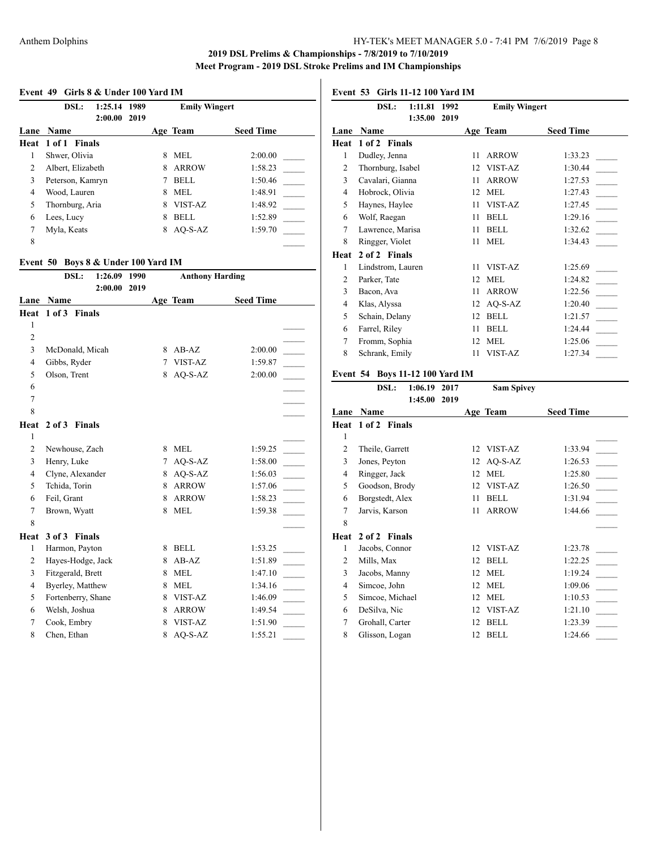#### **Event 49 Girls 8 & Under 100 Yard IM**

|      | DSL:               | 1:25.14<br>2:00.00 | 1989<br>2019 |   | <b>Emily Wingert</b> |                  |
|------|--------------------|--------------------|--------------|---|----------------------|------------------|
| Lane | <b>Name</b>        |                    |              |   | Age Team             | <b>Seed Time</b> |
|      | Heat 1 of 1 Finals |                    |              |   |                      |                  |
|      | Shwer, Olivia      |                    |              | 8 | MEL.                 | 2:00.00          |
| 2    | Albert, Elizabeth  |                    |              | 8 | ARROW                | 1:58.23          |
| 3    | Peterson, Kamryn   |                    |              |   | <b>BELL</b>          | 1:50.46          |
| 4    | Wood, Lauren       |                    |              | 8 | MEL.                 | 1:48.91          |
| 5    | Thornburg, Aria    |                    |              | 8 | VIST-AZ              | 1:48.92          |
| 6    | Lees, Lucy         |                    |              | 8 | <b>BELL</b>          | 1:52.89          |
| 7    | Myla, Keats        |                    |              | 8 | AO-S-AZ              | 1:59.70          |
| 8    |                    |                    |              |   |                      |                  |

## **Event 50 Boys 8 & Under 100 Yard IM**

|                | DSL:<br>1:26.09<br>2:00.00 | 1990<br>2019 |   | <b>Anthony Harding</b> |                  |  |
|----------------|----------------------------|--------------|---|------------------------|------------------|--|
| Lane           | Name                       |              |   | Age Team               | <b>Seed Time</b> |  |
| Heat           | 1 of 3 Finals              |              |   |                        |                  |  |
| 1              |                            |              |   |                        |                  |  |
| $\overline{2}$ |                            |              |   |                        |                  |  |
| 3              | McDonald, Micah            |              | 8 | $AB-AZ$                | 2:00.00          |  |
| $\overline{4}$ | Gibbs, Ryder               |              | 7 | VIST-AZ                | 1:59.87          |  |
| 5              | Olson, Trent               |              | 8 | AQ-S-AZ                | 2:00.00          |  |
| 6              |                            |              |   |                        |                  |  |
| $\tau$         |                            |              |   |                        |                  |  |
| 8              |                            |              |   |                        |                  |  |
| Heat           | 2 of 3 Finals              |              |   |                        |                  |  |
| 1              |                            |              |   |                        |                  |  |
| $\overline{2}$ | Newhouse, Zach             |              | 8 | <b>MEL</b>             | 1:59.25          |  |
| 3              | Henry, Luke                |              | 7 | AQ-S-AZ                | 1:58.00          |  |
| $\overline{4}$ | Clyne, Alexander           |              | 8 | AQ-S-AZ                | 1:56.03          |  |
| 5              | Tchida, Torin              |              | 8 | <b>ARROW</b>           | 1:57.06          |  |
| 6              | Feil, Grant                |              | 8 | <b>ARROW</b>           | 1:58.23          |  |
| $\tau$         | Brown, Wyatt               |              | 8 | <b>MEL</b>             | 1:59.38          |  |
| 8              |                            |              |   |                        |                  |  |
| Heat           | 3 of 3 Finals              |              |   |                        |                  |  |
| $\mathbf{1}$   | Harmon, Payton             |              | 8 | <b>BELL</b>            | 1:53.25          |  |
| $\overline{2}$ | Hayes-Hodge, Jack          |              | 8 | $AB-AZ$                | 1:51.89          |  |
| 3              | Fitzgerald, Brett          |              | 8 | <b>MEL</b>             | 1:47.10          |  |
| $\overline{4}$ | Byerley, Matthew           |              | 8 | <b>MEL</b>             | 1:34.16          |  |
| 5              | Fortenberry, Shane         |              | 8 | VIST-AZ                | 1:46.09          |  |
| 6              | Welsh, Joshua              |              | 8 | <b>ARROW</b>           | 1:49.54          |  |
| 7              | Cook, Embry                |              | 8 | VIST-AZ                | 1:51.90          |  |
| 8              | Chen, Ethan                |              | 8 | AQ-S-AZ                | 1:55.21          |  |

**Event 53 Girls 11-12 100 Yard IM**

|                | DSL:              | 1:11.81 | 1992 |    | <b>Emily Wingert</b> |                  |
|----------------|-------------------|---------|------|----|----------------------|------------------|
|                |                   | 1:35.00 | 2019 |    |                      |                  |
| Lane           | Name              |         |      |    | Age Team             | <b>Seed Time</b> |
| Heat           | 1 of 2 Finals     |         |      |    |                      |                  |
| 1              | Dudley, Jenna     |         |      | 11 | <b>ARROW</b>         | 1:33.23          |
| 2              | Thornburg, Isabel |         |      | 12 | VIST-AZ              | 1:30.44          |
| 3              | Cavalari, Gianna  |         |      | 11 | ARROW                | 1:27.53          |
| $\overline{4}$ | Hobrock, Olivia   |         |      | 12 | <b>MEL</b>           | 1:27.43          |
| 5              | Haynes, Haylee    |         |      | 11 | VIST-AZ              | 1:27.45          |
| 6              | Wolf, Raegan      |         |      | 11 | <b>BELL</b>          | 1:29.16          |
| 7              | Lawrence, Marisa  |         |      | 11 | <b>BELL</b>          | 1:32.62          |
| 8              | Ringger, Violet   |         |      | 11 | <b>MEL</b>           | 1:34.43          |
| Heat           | 2 of 2 Finals     |         |      |    |                      |                  |
| 1              | Lindstrom, Lauren |         |      | 11 | VIST-AZ              | 1:25.69          |
| $\overline{c}$ | Parker, Tate      |         |      | 12 | <b>MEL</b>           | 1:24.82          |
| 3              | Bacon, Ava        |         |      | 11 | ARROW                | 1:22.56          |
| 4              | Klas, Alyssa      |         |      | 12 | AQ-S-AZ              | 1:20.40          |
| 5              | Schain, Delany    |         |      | 12 | <b>BELL</b>          | 1:21.57          |
| 6              | Farrel, Riley     |         |      | 11 | <b>BELL</b>          | 1:24.44          |
| 7              | Fromm, Sophia     |         |      | 12 | <b>MEL</b>           | 1:25.06          |
| 8              | Schrank, Emily    |         |      | 11 | VIST-AZ              | 1:27.34          |
|                |                   |         |      |    |                      |                  |

# **Event 54 Boys 11-12 100 Yard IM**

|                | DSL:            | 1:06.19 | 2017 |    | <b>Sam Spivey</b> |                  |
|----------------|-----------------|---------|------|----|-------------------|------------------|
|                |                 | 1:45.00 | 2019 |    |                   |                  |
| Lane           | <b>Name</b>     |         |      |    | Age Team          | <b>Seed Time</b> |
| Heat           | 1 of 2 Finals   |         |      |    |                   |                  |
| 1              |                 |         |      |    |                   |                  |
| $\overline{2}$ | Theile, Garrett |         |      | 12 | VIST-AZ           | 1:33.94          |
| 3              | Jones, Peyton   |         |      | 12 | $AO-S-AZ$         | 1:26.53          |
| 4              | Ringger, Jack   |         |      | 12 | <b>MEL</b>        | 1:25.80          |
| 5              | Goodson, Brody  |         |      | 12 | VIST-AZ           | 1:26.50          |
| 6              | Borgstedt, Alex |         |      | 11 | <b>BELL</b>       | 1:31.94          |
| 7              | Jarvis, Karson  |         |      | 11 | <b>ARROW</b>      | 1:44.66          |
| 8              |                 |         |      |    |                   |                  |
| Heat           | 2 of 2 Finals   |         |      |    |                   |                  |
| 1              | Jacobs, Connor  |         |      | 12 | VIST-AZ           | 1:23.78          |
| 2              | Mills, Max      |         |      | 12 | <b>BELL</b>       | 1:22.25          |
| 3              | Jacobs, Manny   |         |      | 12 | <b>MEL</b>        | 1:19.24          |
| 4              | Simcoe, John    |         |      | 12 | MEL               | 1:09.06          |
| 5              | Simcoe, Michael |         |      | 12 | <b>MEL</b>        | 1:10.53          |
| 6              | DeSilva, Nic    |         |      | 12 | VIST-AZ           | 1:21.10          |
| 7              | Grohall, Carter |         |      | 12 | <b>BELL</b>       | 1:23.39          |
| 8              | Glisson, Logan  |         |      | 12 | <b>BELL</b>       | 1:24.66          |